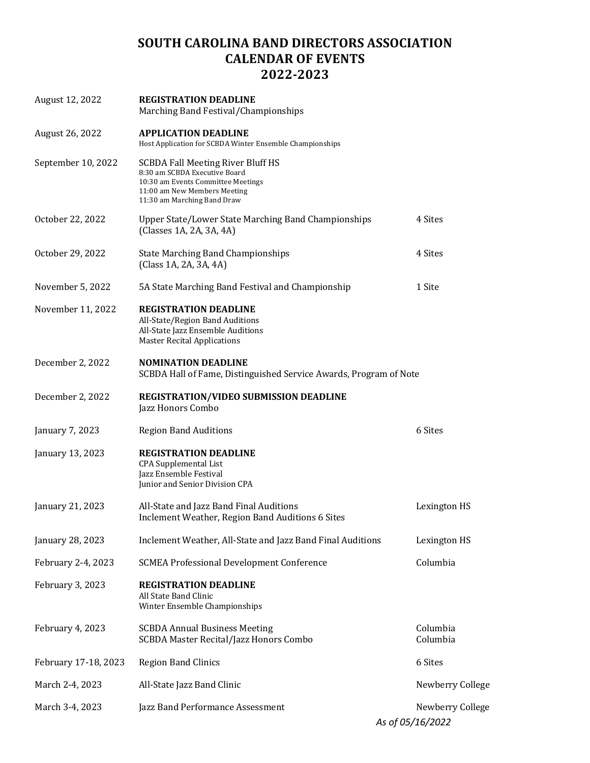## **SOUTH CAROLINA BAND DIRECTORS ASSOCIATION CALENDAR OF EVENTS 2022-2023**

| August 12, 2022      | <b>REGISTRATION DEADLINE</b><br>Marching Band Festival/Championships                                                                                                    |                                      |
|----------------------|-------------------------------------------------------------------------------------------------------------------------------------------------------------------------|--------------------------------------|
| August 26, 2022      | <b>APPLICATION DEADLINE</b><br>Host Application for SCBDA Winter Ensemble Championships                                                                                 |                                      |
| September 10, 2022   | SCBDA Fall Meeting River Bluff HS<br>8:30 am SCBDA Executive Board<br>10:30 am Events Committee Meetings<br>11:00 am New Members Meeting<br>11:30 am Marching Band Draw |                                      |
| October 22, 2022     | <b>Upper State/Lower State Marching Band Championships</b><br>(Classes 1A, 2A, 3A, 4A)                                                                                  | 4 Sites                              |
| October 29, 2022     | <b>State Marching Band Championships</b><br>(Class 1A, 2A, 3A, 4A)                                                                                                      | 4 Sites                              |
| November 5, 2022     | 5A State Marching Band Festival and Championship                                                                                                                        | 1 Site                               |
| November 11, 2022    | <b>REGISTRATION DEADLINE</b><br>All-State/Region Band Auditions<br>All-State Jazz Ensemble Auditions<br><b>Master Recital Applications</b>                              |                                      |
| December 2, 2022     | <b>NOMINATION DEADLINE</b><br>SCBDA Hall of Fame, Distinguished Service Awards, Program of Note                                                                         |                                      |
| December 2, 2022     | REGISTRATION/VIDEO SUBMISSION DEADLINE<br>Jazz Honors Combo                                                                                                             |                                      |
| January 7, 2023      | <b>Region Band Auditions</b>                                                                                                                                            | 6 Sites                              |
| January 13, 2023     | <b>REGISTRATION DEADLINE</b><br><b>CPA Supplemental List</b><br>Jazz Ensemble Festival<br>Junior and Senior Division CPA                                                |                                      |
| January 21, 2023     | All-State and Jazz Band Final Auditions<br>Inclement Weather, Region Band Auditions 6 Sites                                                                             | Lexington HS                         |
| January 28, 2023     | Inclement Weather, All-State and Jazz Band Final Auditions                                                                                                              | Lexington HS                         |
| February 2-4, 2023   | <b>SCMEA Professional Development Conference</b>                                                                                                                        | Columbia                             |
| February 3, 2023     | <b>REGISTRATION DEADLINE</b><br>All State Band Clinic<br>Winter Ensemble Championships                                                                                  |                                      |
| February 4, 2023     | <b>SCBDA Annual Business Meeting</b><br>SCBDA Master Recital/Jazz Honors Combo                                                                                          | Columbia<br>Columbia                 |
| February 17-18, 2023 | <b>Region Band Clinics</b>                                                                                                                                              | 6 Sites                              |
| March 2-4, 2023      | All-State Jazz Band Clinic                                                                                                                                              | Newberry College                     |
| March 3-4, 2023      | Jazz Band Performance Assessment                                                                                                                                        | Newberry College<br>As of 05/16/2022 |